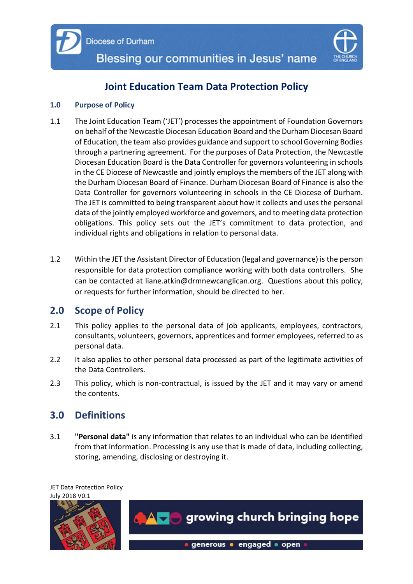

# **Joint Education Team Data Protection Policy**

#### **1.0 Purpose of Policy**

- 1.1 The Joint Education Team ('JET') processes the appointment of Foundation Governors on behalf of the Newcastle Diocesan Education Board and the Durham Diocesan Board of Education, the team also provides guidance and support to school Governing Bodies through a partnering agreement. For the purposes of Data Protection, the Newcastle Diocesan Education Board is the Data Controller for governors volunteering in schools in the CE Diocese of Newcastle and jointly employs the members of the JET along with the Durham Diocesan Board of Finance. Durham Diocesan Board of Finance is also the Data Controller for governors volunteering in schools in the CE Diocese of Durham. The JET is committed to being transparent about how it collects and uses the personal data of the jointly employed workforce and governors, and to meeting data protection obligations. This policy sets out the JET's commitment to data protection, and individual rights and obligations in relation to personal data.
- 1.2 Within the JET the Assistant Director of Education (legal and governance) is the person responsible for data protection compliance working with both data controllers. She can be contacted at liane.atkin@drmnewcanglican.org. Questions about this policy, or requests for further information, should be directed to her.

## **2.0 Scope of Policy**

- 2.1 This policy applies to the personal data of job applicants, employees, contractors, consultants, volunteers, governors, apprentices and former employees, referred to as personal data.
- 2.2 It also applies to other personal data processed as part of the legitimate activities of the Data Controllers.
- 2.3 This policy, which is non-contractual, is issued by the JET and it may vary or amend the contents.

## **3.0 Definitions**

3.1 **"Personal data"** is any information that relates to an individual who can be identified from that information. Processing is any use that is made of data, including collecting, storing, amending, disclosing or destroying it.

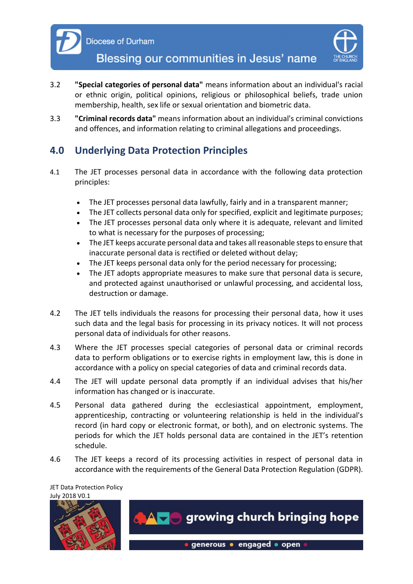

Blessing our communities in Jesus' name

- 3.2 **"Special categories of personal data"** means information about an individual's racial or ethnic origin, political opinions, religious or philosophical beliefs, trade union membership, health, sex life or sexual orientation and biometric data.
- 3.3 **"Criminal records data"** means information about an individual's criminal convictions and offences, and information relating to criminal allegations and proceedings.

## **4.0 Underlying Data Protection Principles**

- 4.1 The JET processes personal data in accordance with the following data protection principles:
	- The JET processes personal data lawfully, fairly and in a transparent manner;
	- The JET collects personal data only for specified, explicit and legitimate purposes;
	- The JET processes personal data only where it is adequate, relevant and limited to what is necessary for the purposes of processing;
	- The JET keeps accurate personal data and takes all reasonable steps to ensure that inaccurate personal data is rectified or deleted without delay;
	- The JET keeps personal data only for the period necessary for processing;
	- The JET adopts appropriate measures to make sure that personal data is secure, and protected against unauthorised or unlawful processing, and accidental loss, destruction or damage.
- 4.2 The JET tells individuals the reasons for processing their personal data, how it uses such data and the legal basis for processing in its privacy notices. It will not process personal data of individuals for other reasons.
- 4.3 Where the JET processes special categories of personal data or criminal records data to perform obligations or to exercise rights in employment law, this is done in accordance with a policy on special categories of data and criminal records data.
- 4.4 The JET will update personal data promptly if an individual advises that his/her information has changed or is inaccurate.
- 4.5 Personal data gathered during the ecclesiastical appointment, employment, apprenticeship, contracting or volunteering relationship is held in the individual's record (in hard copy or electronic format, or both), and on electronic systems. The periods for which the JET holds personal data are contained in the JET's retention schedule.
- 4.6 The JET keeps a record of its processing activities in respect of personal data in accordance with the requirements of the General Data Protection Regulation (GDPR).

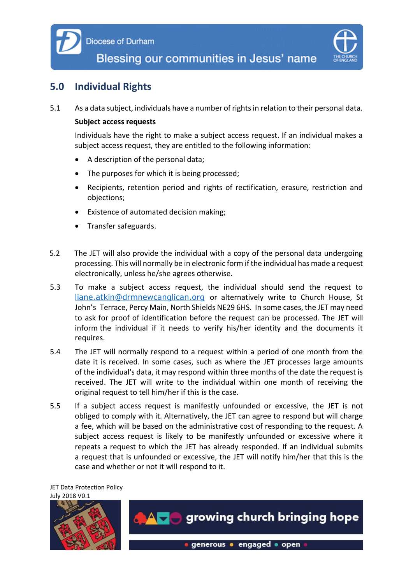

## **5.0 Individual Rights**

5.1 As a data subject, individuals have a number of rights in relation to their personal data.

#### **Subject access requests**

Individuals have the right to make a subject access request. If an individual makes a subject access request, they are entitled to the following information:

- A description of the personal data;
- The purposes for which it is being processed;
- Recipients, retention period and rights of rectification, erasure, restriction and objections;
- Existence of automated decision making;
- **•** Transfer safeguards.
- 5.2 The JET will also provide the individual with a copy of the personal data undergoing processing. This will normally be in electronic form if the individual has made a request electronically, unless he/she agrees otherwise.
- 5.3 To make a subject access request, the individual should send the request to [liane.atkin@drmnewcanglican.org](mailto:liane.atkin@drmnewcanglican.org) or alternatively write to Church House, St John's Terrace, Percy Main, North Shields NE29 6HS. In some cases, the JET may need to ask for proof of identification before the request can be processed. The JET will inform the individual if it needs to verify his/her identity and the documents it requires.
- 5.4 The JET will normally respond to a request within a period of one month from the date it is received. In some cases, such as where the JET processes large amounts of the individual's data, it may respond within three months of the date the request is received. The JET will write to the individual within one month of receiving the original request to tell him/her if this is the case.
- 5.5 If a subject access request is manifestly unfounded or excessive, the JET is not obliged to comply with it. Alternatively, the JET can agree to respond but will charge a fee, which will be based on the administrative cost of responding to the request. A subject access request is likely to be manifestly unfounded or excessive where it repeats a request to which the JET has already responded. If an individual submits a request that is unfounded or excessive, the JET will notify him/her that this is the case and whether or not it will respond to it.

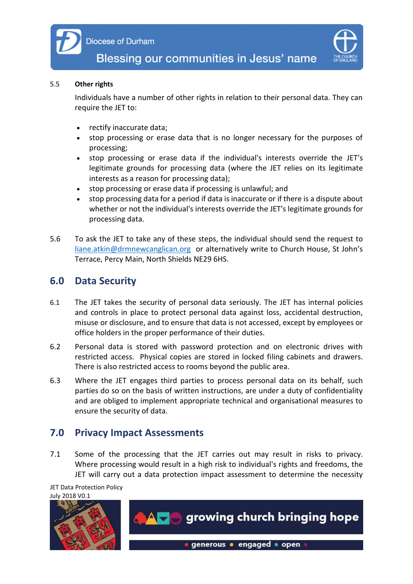



#### 5.5 **Other rights**

Individuals have a number of other rights in relation to their personal data. They can require the JET to:

- rectify inaccurate data;
- stop processing or erase data that is no longer necessary for the purposes of processing;
- stop processing or erase data if the individual's interests override the JET's legitimate grounds for processing data (where the JET relies on its legitimate interests as a reason for processing data);
- stop processing or erase data if processing is unlawful; and
- stop processing data for a period if data is inaccurate or if there is a dispute about whether or not the individual's interests override the JET's legitimate grounds for processing data.
- 5.6 To ask the JET to take any of these steps, the individual should send the request to [liane.atkin@drmnewcanglican.org](mailto:liane.atkin@drmnewcanglican.org) or alternatively write to Church House, St John's Terrace, Percy Main, North Shields NE29 6HS.

#### **6.0 Data Security**

- 6.1 The JET takes the security of personal data seriously. The JET has internal policies and controls in place to protect personal data against loss, accidental destruction, misuse or disclosure, and to ensure that data is not accessed, except by employees or office holders in the proper performance of their duties.
- 6.2 Personal data is stored with password protection and on electronic drives with restricted access. Physical copies are stored in locked filing cabinets and drawers. There is also restricted access to rooms beyond the public area.
- 6.3 Where the JET engages third parties to process personal data on its behalf, such parties do so on the basis of written instructions, are under a duty of confidentiality and are obliged to implement appropriate technical and organisational measures to ensure the security of data.

## **7.0 Privacy Impact Assessments**

7.1 Some of the processing that the JET carries out may result in risks to privacy. Where processing would result in a high risk to individual's rights and freedoms, the JET will carry out a data protection impact assessment to determine the necessity

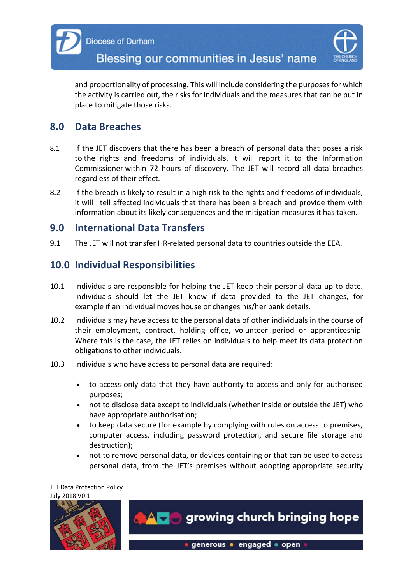

and proportionality of processing. This will include considering the purposes for which the activity is carried out, the risks for individuals and the measures that can be put in place to mitigate those risks.

## **8.0 Data Breaches**

- 8.1 If the JET discovers that there has been a breach of personal data that poses a risk to the rights and freedoms of individuals, it will report it to the Information Commissioner within 72 hours of discovery. The JET will record all data breaches regardless of their effect.
- 8.2 If the breach is likely to result in a high risk to the rights and freedoms of individuals, it will tell affected individuals that there has been a breach and provide them with information about its likely consequences and the mitigation measures it has taken.

#### **9.0 International Data Transfers**

9.1 The JET will not transfer HR-related personal data to countries outside the EEA.

## **10.0 Individual Responsibilities**

- 10.1 Individuals are responsible for helping the JET keep their personal data up to date. Individuals should let the JET know if data provided to the JET changes, for example if an individual moves house or changes his/her bank details.
- 10.2 Individuals may have access to the personal data of other individuals in the course of their employment, contract, holding office, volunteer period or apprenticeship. Where this is the case, the JET relies on individuals to help meet its data protection obligations to other individuals.
- 10.3 Individuals who have access to personal data are required:
	- to access only data that they have authority to access and only for authorised purposes;
	- not to disclose data except to individuals (whether inside or outside the JET) who have appropriate authorisation;
	- to keep data secure (for example by complying with rules on access to premises, computer access, including password protection, and secure file storage and destruction);
	- not to remove personal data, or devices containing or that can be used to access personal data, from the JET's premises without adopting appropriate security

JET Data Protection Policy July 2018 V0.1